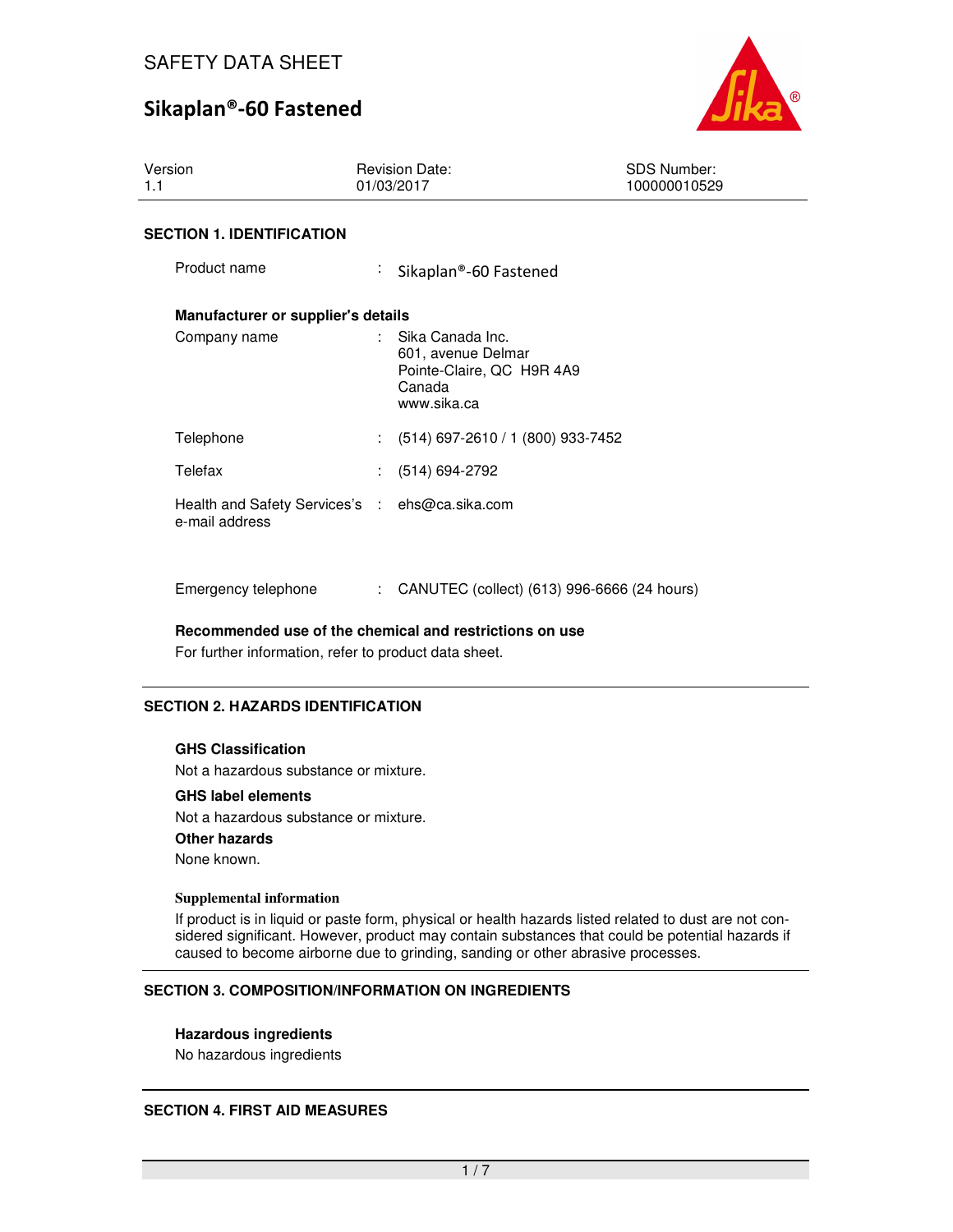

| Version<br>1.1                                                   | <b>Revision Date:</b><br>01/03/2017                                                                       | <b>SDS Number:</b><br>100000010529 |
|------------------------------------------------------------------|-----------------------------------------------------------------------------------------------------------|------------------------------------|
| <b>SECTION 1. IDENTIFICATION</b>                                 |                                                                                                           |                                    |
| Product name                                                     | ÷<br>Sikaplan®-60 Fastened                                                                                |                                    |
| Manufacturer or supplier's details                               |                                                                                                           |                                    |
| Company name                                                     | $\therefore$ Sika Canada Inc.<br>601, avenue Delmar<br>Pointe-Claire, QC H9R 4A9<br>Canada<br>www.sika.ca |                                    |
| Telephone                                                        | $: (514) 697 - 2610 / 1 (800) 933 - 7452$                                                                 |                                    |
| Telefax                                                          | (514) 694-2792                                                                                            |                                    |
| Health and Safety Services's : ehs@ca.sika.com<br>e-mail address |                                                                                                           |                                    |

Emergency telephone : CANUTEC (collect) (613) 996-6666 (24 hours)

**Recommended use of the chemical and restrictions on use** 

For further information, refer to product data sheet.

## **SECTION 2. HAZARDS IDENTIFICATION**

#### **GHS Classification**

Not a hazardous substance or mixture.

## **GHS label elements**

Not a hazardous substance or mixture. **Other hazards** None known.

#### **Supplemental information**

If product is in liquid or paste form, physical or health hazards listed related to dust are not considered significant. However, product may contain substances that could be potential hazards if caused to become airborne due to grinding, sanding or other abrasive processes.

## **SECTION 3. COMPOSITION/INFORMATION ON INGREDIENTS**

#### **Hazardous ingredients**

No hazardous ingredients

## **SECTION 4. FIRST AID MEASURES**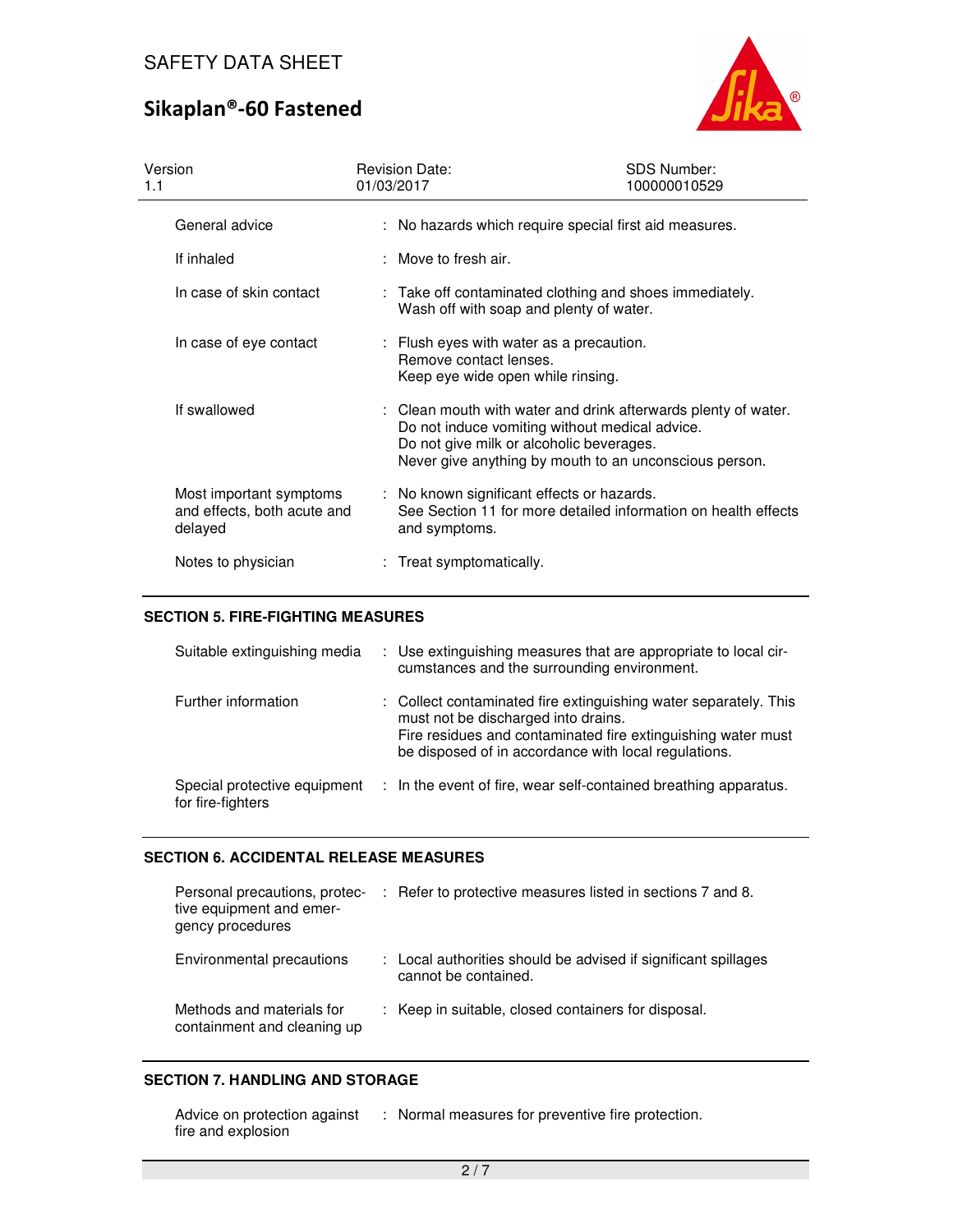

| Version<br>1.1                                                    | <b>Revision Date:</b><br>01/03/2017                                                                     | <b>SDS Number:</b><br>100000010529                                                                                                                                         |
|-------------------------------------------------------------------|---------------------------------------------------------------------------------------------------------|----------------------------------------------------------------------------------------------------------------------------------------------------------------------------|
| General advice                                                    |                                                                                                         | : No hazards which require special first aid measures.                                                                                                                     |
| If inhaled                                                        | : Move to fresh air.                                                                                    |                                                                                                                                                                            |
| In case of skin contact                                           | Wash off with soap and plenty of water.                                                                 | : Take off contaminated clothing and shoes immediately.                                                                                                                    |
| In case of eye contact                                            | : Flush eyes with water as a precaution.<br>Remove contact lenses.<br>Keep eye wide open while rinsing. |                                                                                                                                                                            |
| If swallowed                                                      | Do not give milk or alcoholic beverages.                                                                | : Clean mouth with water and drink afterwards plenty of water.<br>Do not induce vomiting without medical advice.<br>Never give anything by mouth to an unconscious person. |
| Most important symptoms<br>and effects, both acute and<br>delayed | : No known significant effects or hazards.<br>and symptoms.                                             | See Section 11 for more detailed information on health effects                                                                                                             |
| Notes to physician                                                | : Treat symptomatically.                                                                                |                                                                                                                                                                            |

## **SECTION 5. FIRE-FIGHTING MEASURES**

| Suitable extinguishing media                      | : Use extinguishing measures that are appropriate to local cir-<br>cumstances and the surrounding environment.                                                                                                                  |
|---------------------------------------------------|---------------------------------------------------------------------------------------------------------------------------------------------------------------------------------------------------------------------------------|
| Further information                               | : Collect contaminated fire extinguishing water separately. This<br>must not be discharged into drains.<br>Fire residues and contaminated fire extinguishing water must<br>be disposed of in accordance with local regulations. |
| Special protective equipment<br>for fire-fighters | : In the event of fire, wear self-contained breathing apparatus.                                                                                                                                                                |

## **SECTION 6. ACCIDENTAL RELEASE MEASURES**

| Personal precautions, protec-<br>tive equipment and emer-<br>gency procedures | : Refer to protective measures listed in sections 7 and 8.                             |
|-------------------------------------------------------------------------------|----------------------------------------------------------------------------------------|
| Environmental precautions                                                     | : Local authorities should be advised if significant spillages<br>cannot be contained. |
| Methods and materials for<br>containment and cleaning up                      | : Keep in suitable, closed containers for disposal.                                    |

## **SECTION 7. HANDLING AND STORAGE**

| Advice on protection against | Normal measures for preventive fire protection. |
|------------------------------|-------------------------------------------------|
| fire and explosion           |                                                 |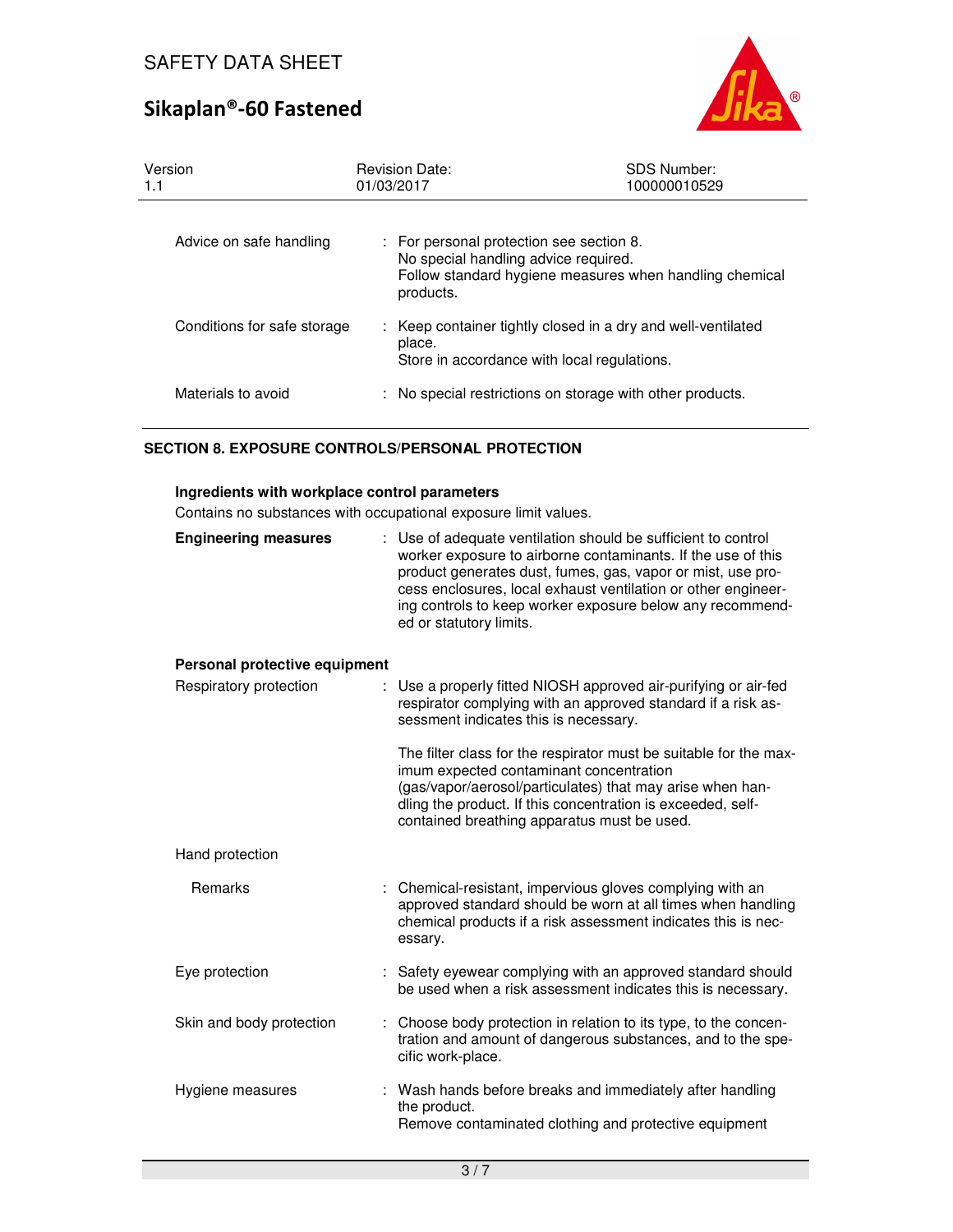

| Version<br>1.1              | <b>Revision Date:</b><br>01/03/2017                                                         | <b>SDS Number:</b><br>100000010529                           |
|-----------------------------|---------------------------------------------------------------------------------------------|--------------------------------------------------------------|
| Advice on safe handling     | For personal protection see section 8.<br>No special handling advice required.<br>products. | Follow standard hygiene measures when handling chemical      |
| Conditions for safe storage | place.<br>Store in accordance with local regulations.                                       | : Keep container tightly closed in a dry and well-ventilated |
| Materials to avoid          |                                                                                             | No special restrictions on storage with other products.      |

## **SECTION 8. EXPOSURE CONTROLS/PERSONAL PROTECTION**

#### **Ingredients with workplace control parameters**

Contains no substances with occupational exposure limit values.

| oniumo no substancco with occupational cxposure immt values. |                                                                                                                                                                                                                                                                                                                                                       |
|--------------------------------------------------------------|-------------------------------------------------------------------------------------------------------------------------------------------------------------------------------------------------------------------------------------------------------------------------------------------------------------------------------------------------------|
| <b>Engineering measures</b>                                  | : Use of adequate ventilation should be sufficient to control<br>worker exposure to airborne contaminants. If the use of this<br>product generates dust, fumes, gas, vapor or mist, use pro-<br>cess enclosures, local exhaust ventilation or other engineer-<br>ing controls to keep worker exposure below any recommend-<br>ed or statutory limits. |
| Personal protective equipment                                |                                                                                                                                                                                                                                                                                                                                                       |
| Respiratory protection                                       | Use a properly fitted NIOSH approved air-purifying or air-fed<br>respirator complying with an approved standard if a risk as-<br>sessment indicates this is necessary.                                                                                                                                                                                |
|                                                              | The filter class for the respirator must be suitable for the max-<br>imum expected contaminant concentration<br>(gas/vapor/aerosol/particulates) that may arise when han-<br>dling the product. If this concentration is exceeded, self-<br>contained breathing apparatus must be used.                                                               |
| Hand protection                                              |                                                                                                                                                                                                                                                                                                                                                       |
| Remarks                                                      | : Chemical-resistant, impervious gloves complying with an<br>approved standard should be worn at all times when handling<br>chemical products if a risk assessment indicates this is nec-<br>essary.                                                                                                                                                  |
| Eye protection                                               | Safety eyewear complying with an approved standard should<br>be used when a risk assessment indicates this is necessary.                                                                                                                                                                                                                              |
| Skin and body protection                                     | Choose body protection in relation to its type, to the concen-<br>tration and amount of dangerous substances, and to the spe-<br>cific work-place.                                                                                                                                                                                                    |
| Hygiene measures                                             | Wash hands before breaks and immediately after handling<br>the product.<br>Remove contaminated clothing and protective equipment                                                                                                                                                                                                                      |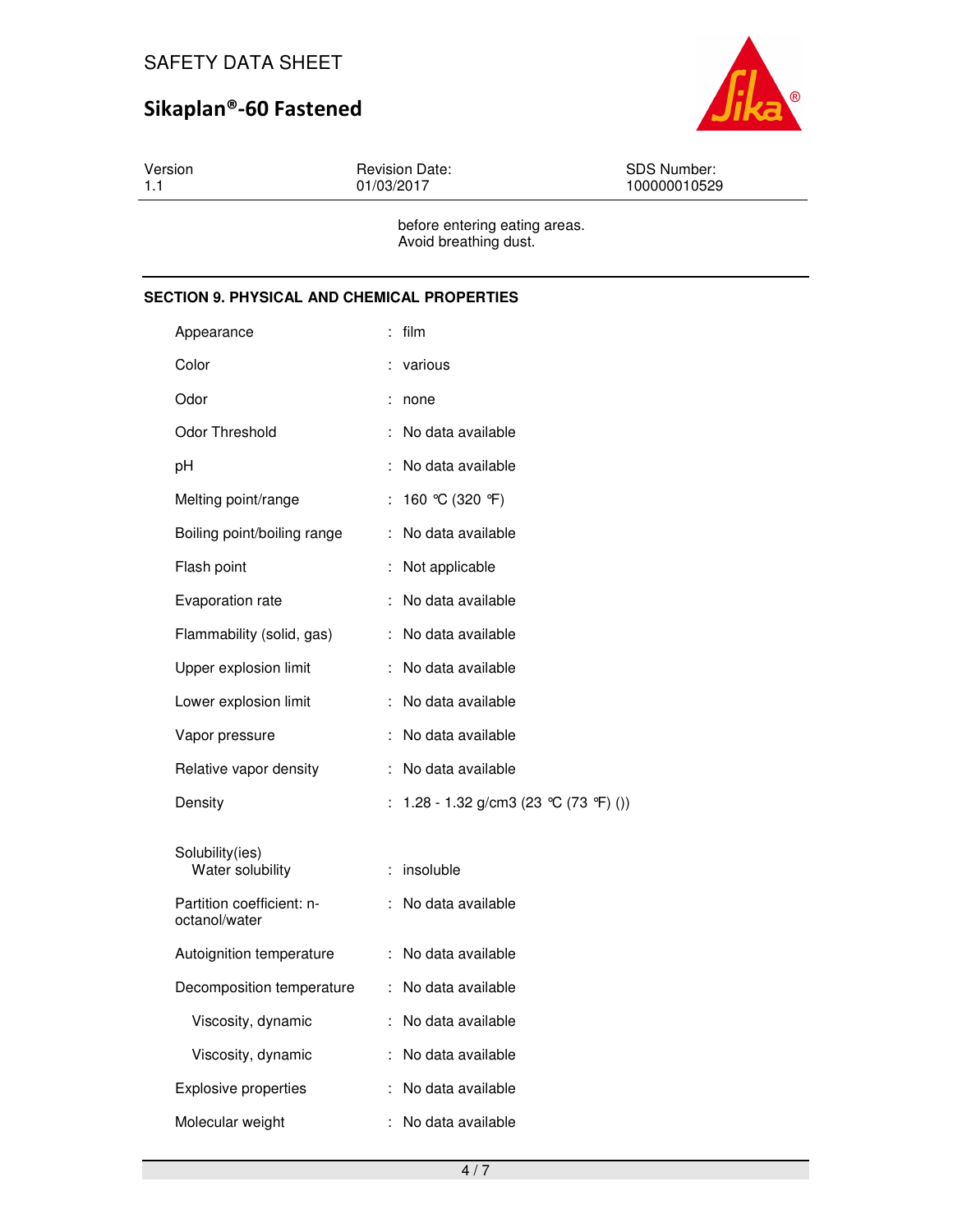

Version 1.1 Revision Date: 01/03/2017 SDS Number: 100000010529 before entering eating areas.

Avoid breathing dust.

## **SECTION 9. PHYSICAL AND CHEMICAL PROPERTIES**

| Appearance                                 |   | film                                 |
|--------------------------------------------|---|--------------------------------------|
| Color                                      |   | various                              |
| Odor                                       |   | none                                 |
| Odor Threshold                             |   | No data available                    |
| рH                                         |   | No data available                    |
| Melting point/range                        | ÷ | 160 °C (320 °F)                      |
| Boiling point/boiling range                | ÷ | No data available                    |
| Flash point                                | t | Not applicable                       |
| Evaporation rate                           | ÷ | No data available                    |
| Flammability (solid, gas)                  | ÷ | No data available                    |
| Upper explosion limit                      | ÷ | No data available                    |
| Lower explosion limit                      | ÷ | No data available                    |
| Vapor pressure                             |   | No data available                    |
| Relative vapor density                     |   | No data available                    |
| Density                                    | ÷ | 1.28 - 1.32 g/cm3 (23 °C (73 °F) ()) |
| Solubility(ies)<br>Water solubility        | ÷ | insoluble                            |
| Partition coefficient: n-<br>octanol/water | ÷ | No data available                    |
| Autoignition temperature                   | ÷ | No data available                    |
| Decomposition temperature                  | ÷ | No data available                    |
| Viscosity, dynamic                         | ÷ | No data available                    |
| Viscosity, dynamic                         | ÷ | No data available                    |
| <b>Explosive properties</b>                |   | No data available                    |
| Molecular weight                           | ÷ | No data available                    |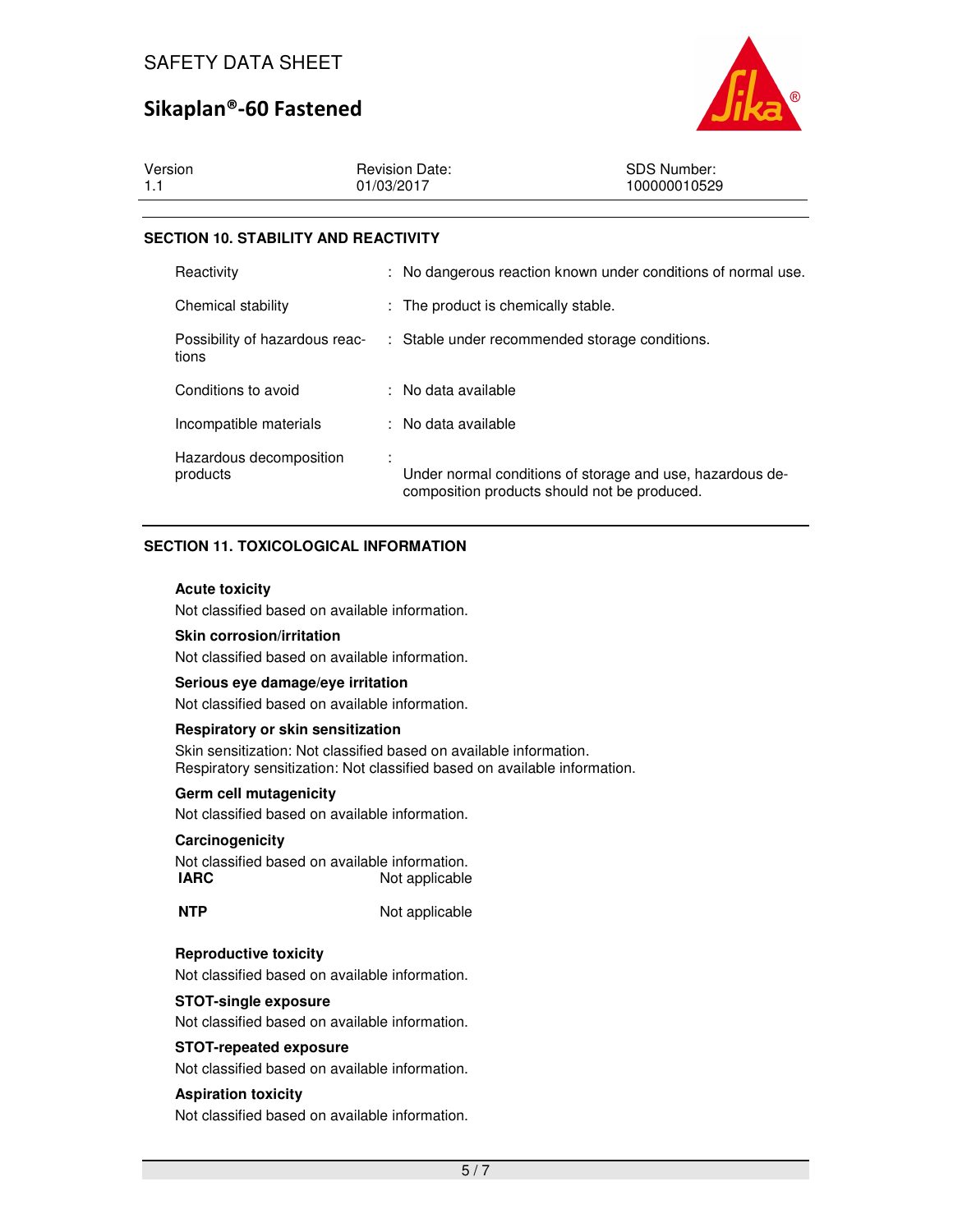

| Version | <b>Revision Date:</b> | <b>SDS Number:</b> |
|---------|-----------------------|--------------------|
|         | 01/03/2017            | 100000010529       |

## **SECTION 10. STABILITY AND REACTIVITY**

| Reactivity                              | : No dangerous reaction known under conditions of normal use.                                             |
|-----------------------------------------|-----------------------------------------------------------------------------------------------------------|
| Chemical stability                      | : The product is chemically stable.                                                                       |
| Possibility of hazardous reac-<br>tions | : Stable under recommended storage conditions.                                                            |
| Conditions to avoid                     | : No data available                                                                                       |
| Incompatible materials                  | : No data available                                                                                       |
| Hazardous decomposition<br>products     | Under normal conditions of storage and use, hazardous de-<br>composition products should not be produced. |

## **SECTION 11. TOXICOLOGICAL INFORMATION**

#### **Acute toxicity**

Not classified based on available information.

#### **Skin corrosion/irritation**

Not classified based on available information.

#### **Serious eye damage/eye irritation**

Not classified based on available information.

#### **Respiratory or skin sensitization**

Skin sensitization: Not classified based on available information. Respiratory sensitization: Not classified based on available information.

## **Germ cell mutagenicity**

Not classified based on available information.

## **Carcinogenicity**

Not classified based on available information. **IARC** Not applicable

**NTP** Not applicable

## **Reproductive toxicity**

Not classified based on available information.

## **STOT-single exposure**

Not classified based on available information.

## **STOT-repeated exposure**

Not classified based on available information.

## **Aspiration toxicity**

Not classified based on available information.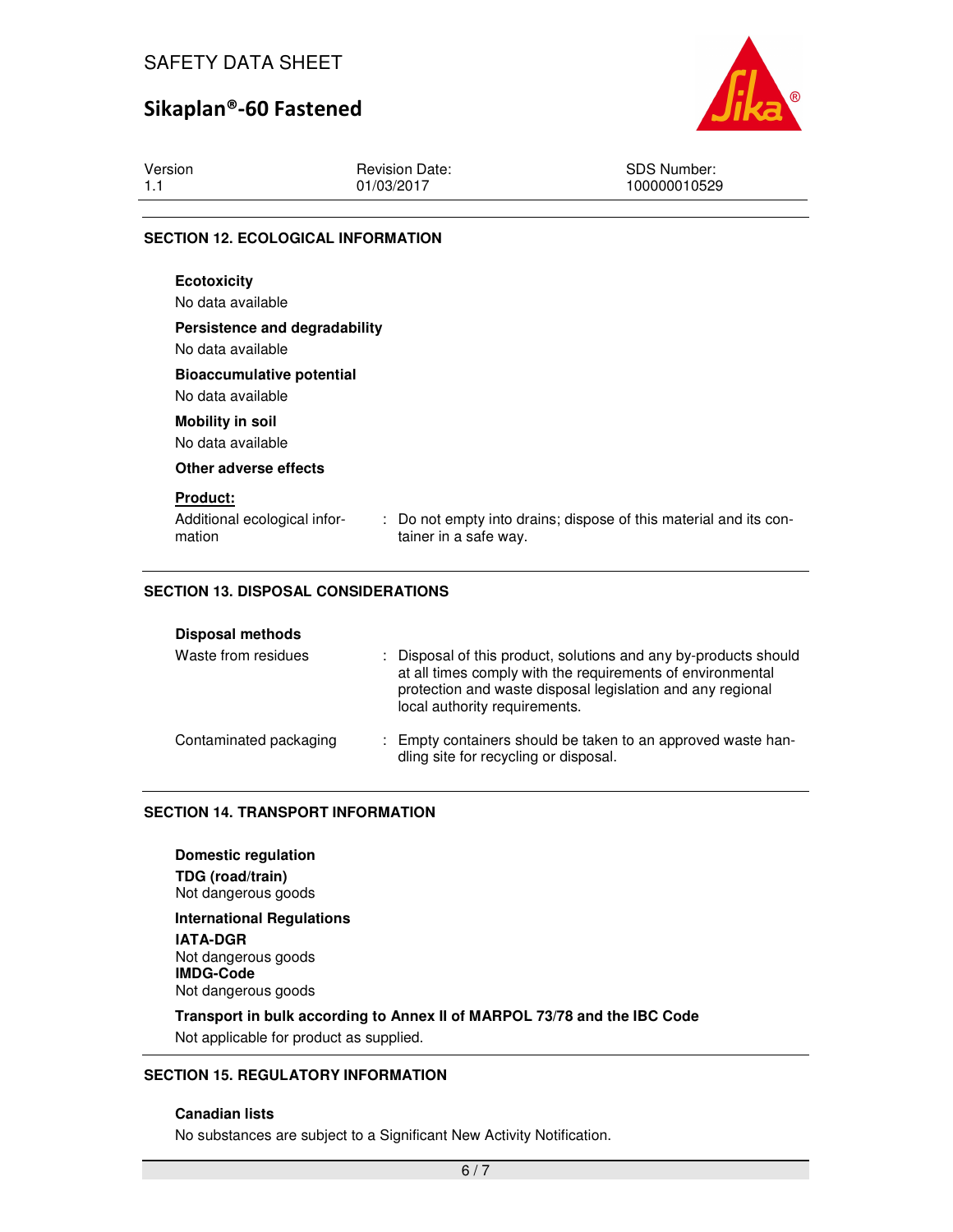

| <b>CECTION 12 ECOLOGICAL INFORMATION</b> |                       |              |
|------------------------------------------|-----------------------|--------------|
|                                          |                       |              |
| 1.1                                      | 01/03/2017            | 100000010529 |
| Version                                  | <b>Revision Date:</b> | SDS Number:  |

## **SECTION 12. ECOLOGICAL INFORMATION**

| <b>Ecotoxicity</b><br>No data available                   |                                                                                            |
|-----------------------------------------------------------|--------------------------------------------------------------------------------------------|
| Persistence and degradability<br>No data available        |                                                                                            |
| <b>Bioaccumulative potential</b><br>No data available     |                                                                                            |
| <b>Mobility in soil</b><br>No data available              |                                                                                            |
| Other adverse effects                                     |                                                                                            |
| <b>Product:</b><br>Additional ecological infor-<br>mation | : Do not empty into drains; dispose of this material and its con-<br>tainer in a safe way. |

## **SECTION 13. DISPOSAL CONSIDERATIONS**

| Waste from residues    | : Disposal of this product, solutions and any by-products should<br>at all times comply with the requirements of environmental<br>protection and waste disposal legislation and any regional<br>local authority requirements. |
|------------------------|-------------------------------------------------------------------------------------------------------------------------------------------------------------------------------------------------------------------------------|
| Contaminated packaging | : Empty containers should be taken to an approved waste han-<br>dling site for recycling or disposal.                                                                                                                         |

## **SECTION 14. TRANSPORT INFORMATION**

#### **Domestic regulation**

**TDG (road/train)** Not dangerous goods

**International Regulations IATA-DGR** Not dangerous goods

**IMDG-Code** Not dangerous goods

**Transport in bulk according to Annex II of MARPOL 73/78 and the IBC Code**  Not applicable for product as supplied.

## **SECTION 15. REGULATORY INFORMATION**

## **Canadian lists**

No substances are subject to a Significant New Activity Notification.